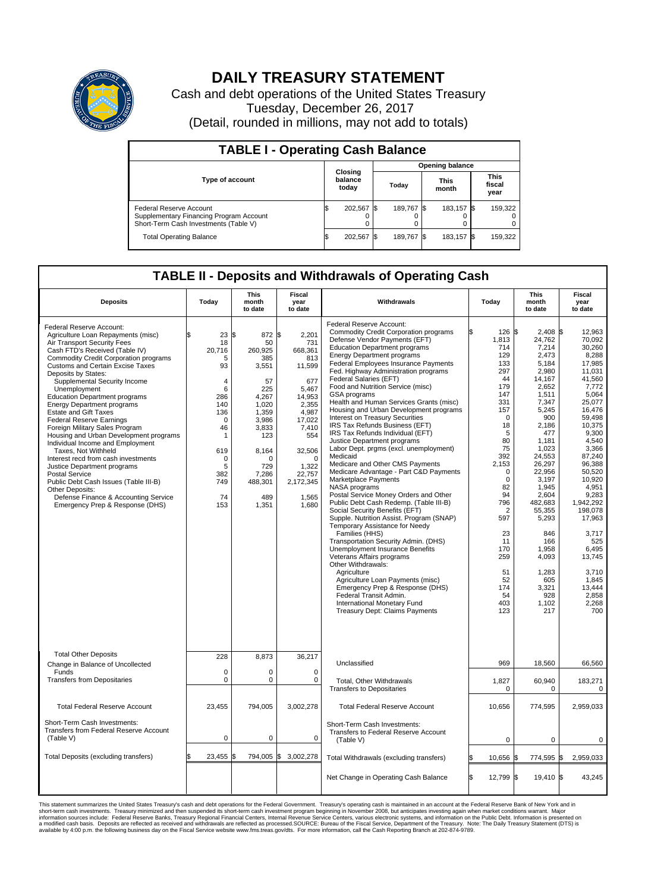

## **DAILY TREASURY STATEMENT**

Cash and debt operations of the United States Treasury Tuesday, December 26, 2017 (Detail, rounded in millions, may not add to totals)

| <b>TABLE I - Operating Cash Balance</b>                                                                     |    |                             |  |                        |  |                      |                               |         |  |  |  |
|-------------------------------------------------------------------------------------------------------------|----|-----------------------------|--|------------------------|--|----------------------|-------------------------------|---------|--|--|--|
|                                                                                                             |    |                             |  | <b>Opening balance</b> |  |                      |                               |         |  |  |  |
| <b>Type of account</b>                                                                                      |    | Closing<br>balance<br>today |  | Today                  |  | <b>This</b><br>month | <b>This</b><br>fiscal<br>year |         |  |  |  |
| Federal Reserve Account<br>Supplementary Financing Program Account<br>Short-Term Cash Investments (Table V) |    | 202,567                     |  | 189.767 \$             |  | 183.157 \$           |                               | 159,322 |  |  |  |
| <b>Total Operating Balance</b>                                                                              | ß. | 202,567 \$                  |  | 189,767 \$             |  | 183,157 \$           |                               | 159,322 |  |  |  |

## **TABLE II - Deposits and Withdrawals of Operating Cash**

| <b>Deposits</b>                                                                                                                                                                                                                                                                                                                                                                                                                                                                                                                                                                                                                                                                                                                                                                                                         | Today                                                                                                                                                                | <b>This</b><br>month<br>to date                                                                                                                                          | <b>Fiscal</b><br>year<br>to date                                                                                                                                                       | Withdrawals                                                                                                                                                                                                                                                                                                                                                                                                                                                                                                                                                                                                                                                                                                                                                                                                                                                                                                                                                                                                                                                                                                                                                                                                                                                                                                      | Today                                                                                                                                                                                                                                                                 | <b>This</b><br>month<br>to date                                                                                                                                                                                                                                                                                             | <b>Fiscal</b><br>year<br>to date                                                                                                                                                                                                                                                                                                           |  |  |  |
|-------------------------------------------------------------------------------------------------------------------------------------------------------------------------------------------------------------------------------------------------------------------------------------------------------------------------------------------------------------------------------------------------------------------------------------------------------------------------------------------------------------------------------------------------------------------------------------------------------------------------------------------------------------------------------------------------------------------------------------------------------------------------------------------------------------------------|----------------------------------------------------------------------------------------------------------------------------------------------------------------------|--------------------------------------------------------------------------------------------------------------------------------------------------------------------------|----------------------------------------------------------------------------------------------------------------------------------------------------------------------------------------|------------------------------------------------------------------------------------------------------------------------------------------------------------------------------------------------------------------------------------------------------------------------------------------------------------------------------------------------------------------------------------------------------------------------------------------------------------------------------------------------------------------------------------------------------------------------------------------------------------------------------------------------------------------------------------------------------------------------------------------------------------------------------------------------------------------------------------------------------------------------------------------------------------------------------------------------------------------------------------------------------------------------------------------------------------------------------------------------------------------------------------------------------------------------------------------------------------------------------------------------------------------------------------------------------------------|-----------------------------------------------------------------------------------------------------------------------------------------------------------------------------------------------------------------------------------------------------------------------|-----------------------------------------------------------------------------------------------------------------------------------------------------------------------------------------------------------------------------------------------------------------------------------------------------------------------------|--------------------------------------------------------------------------------------------------------------------------------------------------------------------------------------------------------------------------------------------------------------------------------------------------------------------------------------------|--|--|--|
| Federal Reserve Account:<br>Agriculture Loan Repayments (misc)<br>Air Transport Security Fees<br>Cash FTD's Received (Table IV)<br><b>Commodity Credit Corporation programs</b><br><b>Customs and Certain Excise Taxes</b><br>Deposits by States:<br>Supplemental Security Income<br>Unemployment<br><b>Education Department programs</b><br><b>Energy Department programs</b><br><b>Estate and Gift Taxes</b><br><b>Federal Reserve Earnings</b><br>Foreign Military Sales Program<br>Housing and Urban Development programs<br>Individual Income and Employment<br>Taxes. Not Withheld<br>Interest recd from cash investments<br>Justice Department programs<br>Postal Service<br>Public Debt Cash Issues (Table III-B)<br>Other Deposits:<br>Defense Finance & Accounting Service<br>Emergency Prep & Response (DHS) | 23<br>18<br>20.716<br>5<br>93<br>$\overline{4}$<br>6<br>286<br>140<br>136<br>$\mathbf 0$<br>46<br>$\mathbf{1}$<br>619<br>$\mathbf 0$<br>5<br>382<br>749<br>74<br>153 | l\$<br>872 \$<br>50<br>260.925<br>385<br>3,551<br>57<br>225<br>4,267<br>1.020<br>1,359<br>3,986<br>3,833<br>123<br>8,164<br>n<br>729<br>7,286<br>488,301<br>489<br>1,351 | 2,201<br>731<br>668.361<br>813<br>11,599<br>677<br>5,467<br>14,953<br>2.355<br>4,987<br>17,022<br>7,410<br>554<br>32,506<br>$\Omega$<br>1,322<br>22,757<br>2,172,345<br>1,565<br>1,680 | Federal Reserve Account:<br><b>Commodity Credit Corporation programs</b><br>Defense Vendor Payments (EFT)<br><b>Education Department programs</b><br><b>Energy Department programs</b><br>Federal Employees Insurance Payments<br>Fed. Highway Administration programs<br>Federal Salaries (EFT)<br>Food and Nutrition Service (misc)<br>GSA programs<br>Health and Human Services Grants (misc)<br>Housing and Urban Development programs<br>Interest on Treasury Securities<br>IRS Tax Refunds Business (EFT)<br>IRS Tax Refunds Individual (EFT)<br>Justice Department programs<br>Labor Dept. prgms (excl. unemployment)<br>Medicaid<br>Medicare and Other CMS Payments<br>Medicare Advantage - Part C&D Payments<br>Marketplace Payments<br>NASA programs<br>Postal Service Money Orders and Other<br>Public Debt Cash Redemp. (Table III-B)<br>Social Security Benefits (EFT)<br>Supple. Nutrition Assist. Program (SNAP)<br>Temporary Assistance for Needy<br>Families (HHS)<br>Transportation Security Admin. (DHS)<br><b>Unemployment Insurance Benefits</b><br>Veterans Affairs programs<br>Other Withdrawals:<br>Agriculture<br>Agriculture Loan Payments (misc)<br>Emergency Prep & Response (DHS)<br>Federal Transit Admin.<br><b>International Monetary Fund</b><br>Treasury Dept: Claims Payments | 126<br>1,813<br>714<br>129<br>133<br>297<br>44<br>179<br>147<br>331<br>157<br>$\Omega$<br>18<br>5<br>80<br>75<br>392<br>2,153<br>$\Omega$<br>$\mathbf 0$<br>82<br>94<br>796<br>$\overline{2}$<br>597<br>23<br>11<br>170<br>259<br>51<br>52<br>174<br>54<br>403<br>123 | l\$<br>2,408 \$<br>24,762<br>7,214<br>2.473<br>5.184<br>2,980<br>14,167<br>2.652<br>1,511<br>7,347<br>5,245<br>900<br>2,186<br>477<br>1.181<br>1,023<br>24,553<br>26,297<br>22,956<br>3,197<br>1,945<br>2,604<br>482,683<br>55,355<br>5,293<br>846<br>166<br>1.958<br>4,093<br>1,283<br>605<br>3,321<br>928<br>1,102<br>217 | 12,963<br>70,092<br>30,260<br>8,288<br>17.985<br>11,031<br>41,560<br>7,772<br>5,064<br>25,077<br>16.476<br>59,498<br>10,375<br>9,300<br>4.540<br>3,366<br>87.240<br>96,388<br>50,520<br>10,920<br>4,951<br>9.283<br>1,942,292<br>198,078<br>17,963<br>3,717<br>525<br>6.495<br>13,745<br>3,710<br>1,845<br>13,444<br>2,858<br>2.268<br>700 |  |  |  |
| <b>Total Other Deposits</b><br>Change in Balance of Uncollected                                                                                                                                                                                                                                                                                                                                                                                                                                                                                                                                                                                                                                                                                                                                                         | 228                                                                                                                                                                  | 8,873                                                                                                                                                                    | 36,217                                                                                                                                                                                 | Unclassified                                                                                                                                                                                                                                                                                                                                                                                                                                                                                                                                                                                                                                                                                                                                                                                                                                                                                                                                                                                                                                                                                                                                                                                                                                                                                                     | 969                                                                                                                                                                                                                                                                   | 18.560                                                                                                                                                                                                                                                                                                                      | 66.560                                                                                                                                                                                                                                                                                                                                     |  |  |  |
| Funds<br><b>Transfers from Depositaries</b>                                                                                                                                                                                                                                                                                                                                                                                                                                                                                                                                                                                                                                                                                                                                                                             | $\mathbf 0$<br>$\mathbf 0$                                                                                                                                           | 0<br>$\mathbf 0$                                                                                                                                                         | 0<br>$\mathbf 0$                                                                                                                                                                       | Total, Other Withdrawals<br><b>Transfers to Depositaries</b>                                                                                                                                                                                                                                                                                                                                                                                                                                                                                                                                                                                                                                                                                                                                                                                                                                                                                                                                                                                                                                                                                                                                                                                                                                                     | 1,827<br>$\mathbf 0$                                                                                                                                                                                                                                                  | 60,940<br>0                                                                                                                                                                                                                                                                                                                 | 183,271<br>0                                                                                                                                                                                                                                                                                                                               |  |  |  |
| <b>Total Federal Reserve Account</b>                                                                                                                                                                                                                                                                                                                                                                                                                                                                                                                                                                                                                                                                                                                                                                                    | 23,455                                                                                                                                                               | 794,005                                                                                                                                                                  | 3,002,278                                                                                                                                                                              | <b>Total Federal Reserve Account</b>                                                                                                                                                                                                                                                                                                                                                                                                                                                                                                                                                                                                                                                                                                                                                                                                                                                                                                                                                                                                                                                                                                                                                                                                                                                                             | 10,656                                                                                                                                                                                                                                                                | 774,595                                                                                                                                                                                                                                                                                                                     | 2,959,033                                                                                                                                                                                                                                                                                                                                  |  |  |  |
| Short-Term Cash Investments:<br>Transfers from Federal Reserve Account<br>(Table V)                                                                                                                                                                                                                                                                                                                                                                                                                                                                                                                                                                                                                                                                                                                                     | 0                                                                                                                                                                    | $\mathbf 0$                                                                                                                                                              | 0                                                                                                                                                                                      | Short-Term Cash Investments:<br>Transfers to Federal Reserve Account<br>(Table V)                                                                                                                                                                                                                                                                                                                                                                                                                                                                                                                                                                                                                                                                                                                                                                                                                                                                                                                                                                                                                                                                                                                                                                                                                                | $\mathbf 0$                                                                                                                                                                                                                                                           | $\mathbf 0$                                                                                                                                                                                                                                                                                                                 | $\mathbf 0$                                                                                                                                                                                                                                                                                                                                |  |  |  |
| Total Deposits (excluding transfers)                                                                                                                                                                                                                                                                                                                                                                                                                                                                                                                                                                                                                                                                                                                                                                                    | 23,455                                                                                                                                                               | 794,005 \$<br>l\$                                                                                                                                                        | 3,002,278                                                                                                                                                                              | Total Withdrawals (excluding transfers)                                                                                                                                                                                                                                                                                                                                                                                                                                                                                                                                                                                                                                                                                                                                                                                                                                                                                                                                                                                                                                                                                                                                                                                                                                                                          | 10,656 \$                                                                                                                                                                                                                                                             | 774,595 \$                                                                                                                                                                                                                                                                                                                  | 2,959,033                                                                                                                                                                                                                                                                                                                                  |  |  |  |
|                                                                                                                                                                                                                                                                                                                                                                                                                                                                                                                                                                                                                                                                                                                                                                                                                         |                                                                                                                                                                      |                                                                                                                                                                          |                                                                                                                                                                                        | Net Change in Operating Cash Balance                                                                                                                                                                                                                                                                                                                                                                                                                                                                                                                                                                                                                                                                                                                                                                                                                                                                                                                                                                                                                                                                                                                                                                                                                                                                             | 12,799 \$<br>l\$                                                                                                                                                                                                                                                      | $19.410$ \\$                                                                                                                                                                                                                                                                                                                | 43.245                                                                                                                                                                                                                                                                                                                                     |  |  |  |

This statement summarizes the United States Treasury's cash and debt operations for the Federal Government. Treasury operating in November 2008, but anticinates investing again when market conditions warrant. Major York an